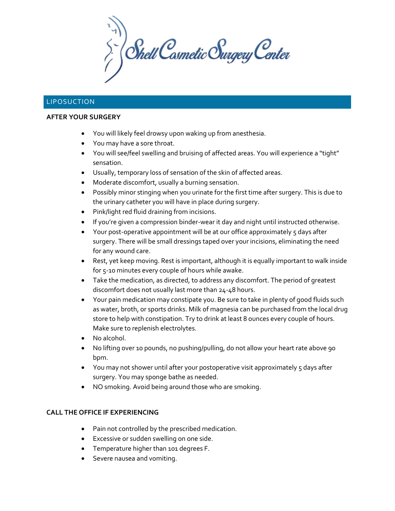$\sum_{i}^{n}$  Shell Cosmetic Surgery Center

# LIPOSUCTION

### **AFTER YOUR SURGERY**

- You will likely feel drowsy upon waking up from anesthesia.
- You may have a sore throat.
- You will see/feel swelling and bruising of affected areas. You will experience a "tight" sensation.
- Usually, temporary loss of sensation of the skin of affected areas.
- Moderate discomfort, usually a burning sensation.
- Possibly minor stinging when you urinate for the first time after surgery. This is due to the urinary catheter you will have in place during surgery.
- Pink/light red fluid draining from incisions.
- If you're given a compression binder-wear it day and night until instructed otherwise.
- Your post-operative appointment will be at our office approximately  $\zeta$  days after surgery. There will be small dressings taped over your incisions, eliminating the need for any wound care.
- Rest, yet keep moving. Rest is important, although it is equally important to walk inside for 5-10 minutes every couple of hours while awake.
- Take the medication, as directed, to address any discomfort. The period of greatest discomfort does not usually last more than 24-48 hours.
- Your pain medication may constipate you. Be sure to take in plenty of good fluids such as water, broth, or sports drinks. Milk of magnesia can be purchased from the local drug store to help with constipation. Try to drink at least 8 ounces every couple of hours. Make sure to replenish electrolytes.
- No alcohol.
- No lifting over 10 pounds, no pushing/pulling, do not allow your heart rate above 90 bpm.
- You may not shower until after your postoperative visit approximately 5 days after surgery. You may sponge bathe as needed.
- NO smoking. Avoid being around those who are smoking.

### **CALL THE OFFICE IF EXPERIENCING**

- Pain not controlled by the prescribed medication.
- Excessive or sudden swelling on one side.
- Temperature higher than 101 degrees F.
- Severe nausea and vomiting.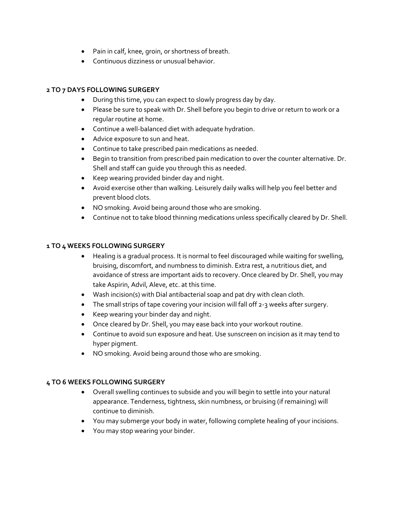- Pain in calf, knee, groin, or shortness of breath.
- Continuous dizziness or unusual behavior.

## **2 TO 7 DAYS FOLLOWING SURGERY**

- During this time, you can expect to slowly progress day by day.
- Please be sure to speak with Dr. Shell before you begin to drive or return to work or a regular routine at home.
- Continue a well-balanced diet with adequate hydration.
- Advice exposure to sun and heat.
- Continue to take prescribed pain medications as needed.
- Begin to transition from prescribed pain medication to over the counter alternative. Dr. Shell and staff can guide you through this as needed.
- Keep wearing provided binder day and night.
- Avoid exercise other than walking. Leisurely daily walks will help you feel better and prevent blood clots.
- NO smoking. Avoid being around those who are smoking.
- Continue not to take blood thinning medications unless specifically cleared by Dr. Shell.

### **1 TO 4 WEEKS FOLLOWING SURGERY**

- Healing is a gradual process. It is normal to feel discouraged while waiting for swelling, bruising, discomfort, and numbness to diminish. Extra rest, a nutritious diet, and avoidance of stress are important aids to recovery. Once cleared by Dr. Shell, you may take Aspirin, Advil, Aleve, etc. at this time.
- Wash incision(s) with Dial antibacterial soap and pat dry with clean cloth.
- The small strips of tape covering your incision will fall off 2-3 weeks after surgery.
- Keep wearing your binder day and night.
- Once cleared by Dr. Shell, you may ease back into your workout routine.
- Continue to avoid sun exposure and heat. Use sunscreen on incision as it may tend to hyper pigment.
- NO smoking. Avoid being around those who are smoking.

### **4 TO 6 WEEKS FOLLOWING SURGERY**

- Overall swelling continues to subside and you will begin to settle into your natural appearance. Tenderness, tightness, skin numbness, or bruising (if remaining) will continue to diminish.
- You may submerge your body in water, following complete healing of your incisions.
- You may stop wearing your binder.